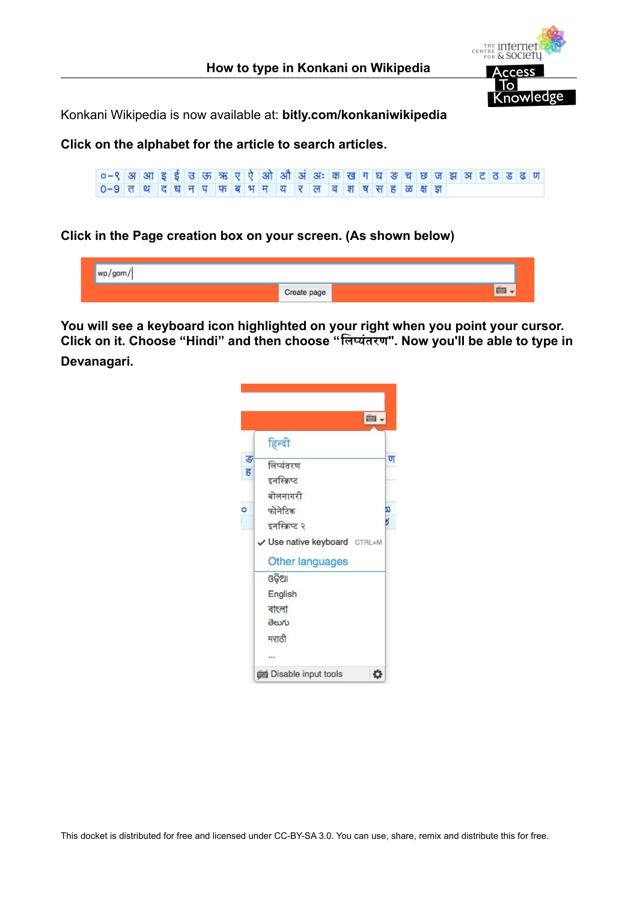

Konkani Wikipedia is now available at: **bitly.com/konkaniwikipedia**

**Click on the alphabet for the article to search articles.**

०-९ अआ इई उक्त ऋ ए ऐ ओ औ अं अः कख गघड़ च छ जझ ञट ठ ड ढ ण 0-9 तथ दधनपफबभमय र ल व श ष सहळक्षज्ञ

# **Click in the Page creation box on your screen. (As shown below)**

| - 11 13 1 |             |  |
|-----------|-------------|--|
|           | Create page |  |

**You will see a keyboard icon highlighted on your right when you point your cursor. Click on it. Choose "Hindi" and then choose "िलिप्यंतरण". Now you'll be able to type in Devanagari.**

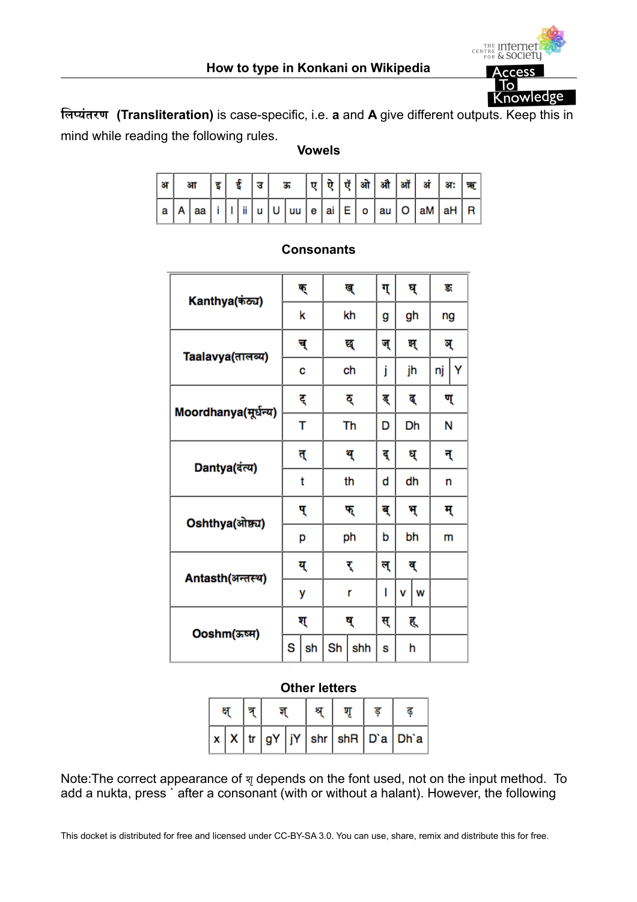

**िलिप्यंतरण (Transliteration)** is case-specific, i.e. **a** and **A** give different outputs. Keep this in mind while reading the following rules.

# **Vowels**

| ा आ |  |  |  |  |  |  |  | आ │इ│ई │उ│ ऊ │ए│ऐ│ऍ│ओ │औ │ऑ │अं│अः│ऋ          |  |
|-----|--|--|--|--|--|--|--|-----------------------------------------------|--|
|     |  |  |  |  |  |  |  | $ a A aa i 1 ii u U uu e ai E o au O am aH R$ |  |

| Kanthya(कंठ्य)       |    | ক্ |    | ख्  | ग् |    | घ् | ङ  |   |
|----------------------|----|----|----|-----|----|----|----|----|---|
|                      | k  |    | kh |     | g  | gh |    | ng |   |
| Taalavya(तालव्य)     |    | च् | छ् |     | ज् | झ् |    | ন্ |   |
|                      | C  |    |    | ch  | j  |    | jh | nj | Y |
| Moordhanya(मूर्धन्य) |    | ट् | ठ् |     | ड् | द  |    | ण् |   |
|                      |    | т  |    | Th  | D  |    | Dh | Ν  |   |
| Dantya(दंत्य)        | त् |    | थ् |     | दू | ध् |    | न् |   |
|                      | t  |    |    | th  | d  | dh |    | n  |   |
| Oshthya(ओष्ठ्य)      | प् |    |    | फ्  | ब् | भ् |    | म् |   |
|                      | р  |    |    | ph  | b  | bh |    | m  |   |
| Antasth(अन्तस्थ)     |    | य् |    | र्  | ल् | ब् |    |    |   |
|                      | у  |    |    | r   | I  | ٧  | W  |    |   |
| Ooshm(ऊष्म)          | ग् |    |    | ष्  | स् | ह् |    |    |   |
|                      | S  | sh | Sh | shh | S  |    | h  |    |   |

# **Consonants**

# **Other letters**

|  |  |  |  | $x   x   tr   gY   jY   shr   shR   D'a   Dh'a  $ |  |
|--|--|--|--|---------------------------------------------------|--|

Note:The correct appearance of शृdepends on the font used, not on the input method. To add a nukta, press ` after a consonant (with or without a halant). However, the following